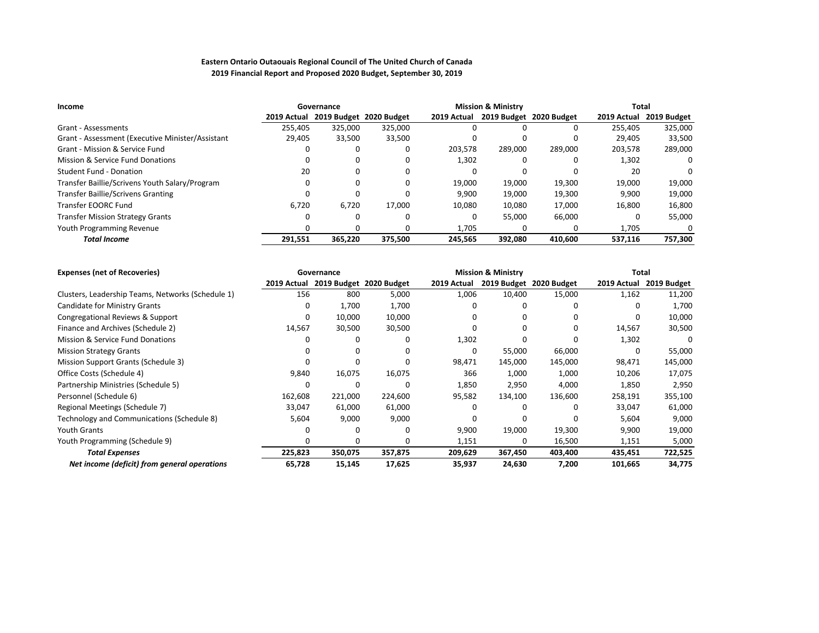| Income                                           | Governance  |         |                         |             | <b>Mission &amp; Ministry</b> |                         | Total       |             |  |
|--------------------------------------------------|-------------|---------|-------------------------|-------------|-------------------------------|-------------------------|-------------|-------------|--|
|                                                  | 2019 Actual |         | 2019 Budget 2020 Budget | 2019 Actual |                               | 2019 Budget 2020 Budget | 2019 Actual | 2019 Budget |  |
| Grant - Assessments                              | 255.405     | 325.000 | 325,000                 |             |                               |                         | 255.405     | 325,000     |  |
| Grant - Assessment (Executive Minister/Assistant | 29,405      | 33,500  | 33,500                  | ŋ           |                               |                         | 29.405      | 33,500      |  |
| Grant - Mission & Service Fund                   |             |         | 0                       | 203,578     | 289,000                       | 289,000                 | 203,578     | 289,000     |  |
| Mission & Service Fund Donations                 |             |         | $\Omega$                | 1,302       |                               |                         | 1,302       | 0           |  |
| Student Fund - Donation                          | 20          |         |                         |             |                               |                         | 20          | 0           |  |
| Transfer Baillie/Scrivens Youth Salary/Program   |             |         | $\Omega$                | 19.000      | 19,000                        | 19,300                  | 19,000      | 19,000      |  |
| <b>Transfer Baillie/Scrivens Granting</b>        |             |         | $\Omega$                | 9.900       | 19.000                        | 19.300                  | 9,900       | 19,000      |  |
| Transfer EOORC Fund                              | 6.720       | 6,720   | 17,000                  | 10.080      | 10,080                        | 17,000                  | 16,800      | 16,800      |  |
| <b>Transfer Mission Strategy Grants</b>          |             |         | <sup>0</sup>            | ŋ           | 55.000                        | 66.000                  |             | 55,000      |  |
| Youth Programming Revenue                        |             |         |                         | 1.705       |                               |                         | 1,705       | $\Omega$    |  |
| <b>Total Income</b>                              | 291,551     | 365.220 | 375.500                 | 245.565     | 392.080                       | 410.600                 | 537.116     | 757,300     |  |

| <b>Expenses (net of Recoveries)</b>               |             | Governance |                         |             | <b>Mission &amp; Ministry</b> |                         | <b>Total</b> |             |
|---------------------------------------------------|-------------|------------|-------------------------|-------------|-------------------------------|-------------------------|--------------|-------------|
|                                                   | 2019 Actual |            | 2019 Budget 2020 Budget | 2019 Actual |                               | 2019 Budget 2020 Budget | 2019 Actual  | 2019 Budget |
| Clusters, Leadership Teams, Networks (Schedule 1) | 156         | 800        | 5,000                   | 1,006       | 10,400                        | 15,000                  | 1,162        | 11,200      |
| Candidate for Ministry Grants                     |             | 1,700      | 1,700                   |             | <sup>0</sup>                  |                         |              | 1,700       |
| Congregational Reviews & Support                  |             | 10,000     | 10,000                  |             | 0                             | $\Omega$                | 0            | 10,000      |
| Finance and Archives (Schedule 2)                 | 14,567      | 30,500     | 30,500                  |             | 0                             | $\Omega$                | 14,567       | 30,500      |
| Mission & Service Fund Donations                  |             | 0          | 0                       | 1,302       | O                             | $\Omega$                | 1,302        |             |
| <b>Mission Strategy Grants</b>                    |             | $\Omega$   |                         |             | 55,000                        | 66,000                  | 0            | 55,000      |
| Mission Support Grants (Schedule 3)               |             | $\Omega$   | O                       | 98,471      | 145,000                       | 145,000                 | 98,471       | 145,000     |
| Office Costs (Schedule 4)                         | 9,840       | 16,075     | 16,075                  | 366         | 1,000                         | 1,000                   | 10,206       | 17,075      |
| Partnership Ministries (Schedule 5)               |             | n          | O                       | 1,850       | 2,950                         | 4,000                   | 1,850        | 2,950       |
| Personnel (Schedule 6)                            | 162,608     | 221,000    | 224,600                 | 95,582      | 134,100                       | 136,600                 | 258,191      | 355,100     |
| Regional Meetings (Schedule 7)                    | 33,047      | 61,000     | 61,000                  |             | <sup>0</sup>                  | $\Omega$                | 33,047       | 61,000      |
| Technology and Communications (Schedule 8)        | 5,604       | 9,000      | 9,000                   |             | $\Omega$                      | $\Omega$                | 5,604        | 9,000       |
| <b>Youth Grants</b>                               |             |            | O                       | 9,900       | 19,000                        | 19,300                  | 9,900        | 19,000      |
| Youth Programming (Schedule 9)                    |             | $\Omega$   | O                       | 1,151       | <sup>0</sup>                  | 16,500                  | 1,151        | 5,000       |
| <b>Total Expenses</b>                             | 225,823     | 350,075    | 357,875                 | 209,629     | 367,450                       | 403,400                 | 435,451      | 722,525     |
| Net income (deficit) from general operations      | 65,728      | 15,145     | 17,625                  | 35,937      | 24,630                        | 7,200                   | 101,665      | 34,775      |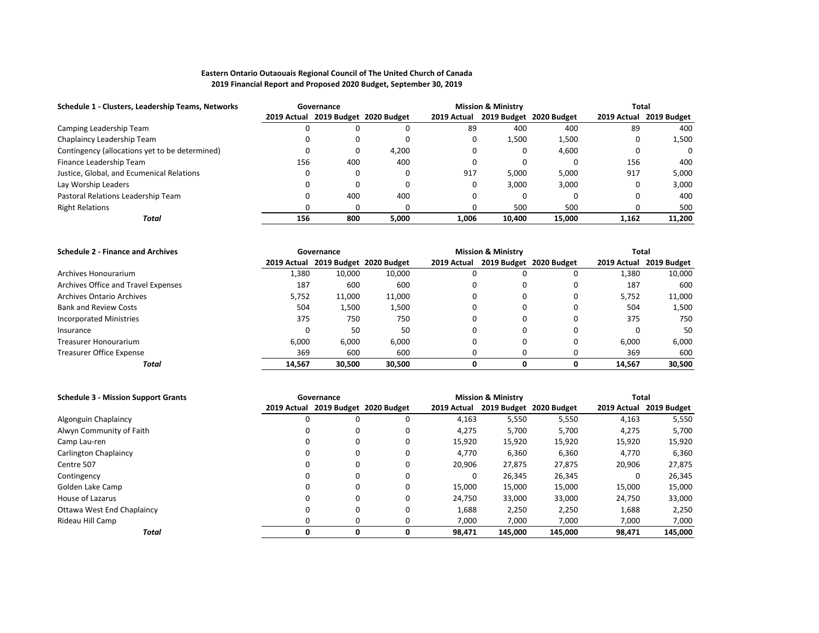| Schedule 1 - Clusters, Leadership Teams, Networks |     | Governance                          | <b>Mission &amp; Ministry</b> |             |        |                         | Total    |                         |
|---------------------------------------------------|-----|-------------------------------------|-------------------------------|-------------|--------|-------------------------|----------|-------------------------|
|                                                   |     | 2019 Actual 2019 Budget 2020 Budget |                               | 2019 Actual |        | 2019 Budget 2020 Budget |          | 2019 Actual 2019 Budget |
| Camping Leadership Team                           |     |                                     |                               | 89          | 400    | 400                     | 89       | 400                     |
| Chaplaincy Leadership Team                        |     |                                     |                               |             | 1,500  | 1,500                   | 0        | 1,500                   |
| Contingency (allocations yet to be determined)    |     |                                     | 4,200                         |             |        | 4,600                   | $\Omega$ | $\Omega$                |
| Finance Leadership Team                           | 156 | 400                                 | 400                           |             |        |                         | 156      | 400                     |
| Justice, Global, and Ecumenical Relations         |     |                                     |                               | 917         | 5.000  | 5.000                   | 917      | 5,000                   |
| Lay Worship Leaders                               |     |                                     |                               |             | 3.000  | 3.000                   | 0        | 3.000                   |
| Pastoral Relations Leadership Team                |     | 400                                 | 400                           |             |        |                         | 0        | 400                     |
| <b>Right Relations</b>                            |     |                                     |                               |             | 500    | 500                     | 0        | 500                     |
| Total                                             | 156 | 800                                 | 5.000                         | 1.006       | 10.400 | 15.000                  | 1.162    | 11.200                  |

| <b>Schedule 2 - Finance and Archives</b> | Governance |                                     |        |             | <b>Mission &amp; Ministry</b> | Total                   |        |                         |
|------------------------------------------|------------|-------------------------------------|--------|-------------|-------------------------------|-------------------------|--------|-------------------------|
|                                          |            | 2019 Actual 2019 Budget 2020 Budget |        | 2019 Actual |                               | 2019 Budget 2020 Budget |        | 2019 Actual 2019 Budget |
| Archives Honourarium                     | 1,380      | 10.000                              | 10,000 |             |                               | 0                       | 1.380  | 10,000                  |
| Archives Office and Travel Expenses      | 187        | 600                                 | 600    |             | 0                             | 0                       | 187    | 600                     |
| Archives Ontario Archives                | 5,752      | 11,000                              | 11,000 |             | 0                             | $\Omega$                | 5,752  | 11,000                  |
| <b>Bank and Review Costs</b>             | 504        | 1,500                               | 1,500  |             | 0                             | 0                       | 504    | 1,500                   |
| Incorporated Ministries                  | 375        | 750                                 | 750    |             | 0                             | $\Omega$                | 375    | 750                     |
| Insurance                                |            | 50                                  | 50     |             | $\Omega$                      | $\Omega$                |        | -50                     |
| Treasurer Honourarium                    | 6.000      | 6.000                               | 6.000  |             | 0                             | $\Omega$                | 6.000  | 6,000                   |
| Treasurer Office Expense                 | 369        | 600                                 | 600    |             |                               |                         | 369    | 600                     |
| Total                                    | 14.567     | 30.500                              | 30.500 |             | 0                             | 0                       | 14.567 | 30,500                  |

| <b>Schedule 3 - Mission Support Grants</b> |   | Governance                          | <b>Mission &amp; Ministry</b> |             |         |                         | <b>Total</b> |                         |
|--------------------------------------------|---|-------------------------------------|-------------------------------|-------------|---------|-------------------------|--------------|-------------------------|
|                                            |   | 2019 Actual 2019 Budget 2020 Budget |                               | 2019 Actual |         | 2019 Budget 2020 Budget |              | 2019 Actual 2019 Budget |
| Algonguin Chaplaincy                       | 0 | 0                                   | 0                             | 4,163       | 5,550   | 5,550                   | 4,163        | 5,550                   |
| Alwyn Community of Faith                   | 0 | 0                                   | 0                             | 4,275       | 5,700   | 5,700                   | 4,275        | 5,700                   |
| Camp Lau-ren                               |   | 0                                   | 0                             | 15,920      | 15,920  | 15,920                  | 15,920       | 15,920                  |
| Carlington Chaplaincy                      |   | 0                                   | 0                             | 4.770       | 6,360   | 6,360                   | 4,770        | 6,360                   |
| Centre 507                                 |   | 0                                   | 0                             | 20,906      | 27,875  | 27,875                  | 20,906       | 27,875                  |
| Contingency                                |   | 0                                   | 0                             |             | 26,345  | 26,345                  |              | 26,345                  |
| Golden Lake Camp                           | ŋ | 0                                   | $\Omega$                      | 15.000      | 15,000  | 15,000                  | 15,000       | 15,000                  |
| House of Lazarus                           |   | 0                                   | 0                             | 24,750      | 33,000  | 33,000                  | 24,750       | 33,000                  |
| Ottawa West End Chaplaincy                 | 0 | 0                                   | 0                             | 1,688       | 2,250   | 2,250                   | 1,688        | 2,250                   |
| Rideau Hill Camp                           |   | 0                                   | 0                             | 7,000       | 7.000   | 7,000                   | 7,000        | 7,000                   |
| Total                                      | 0 | 0                                   | 0                             | 98.471      | 145.000 | 145.000                 | 98,471       | 145,000                 |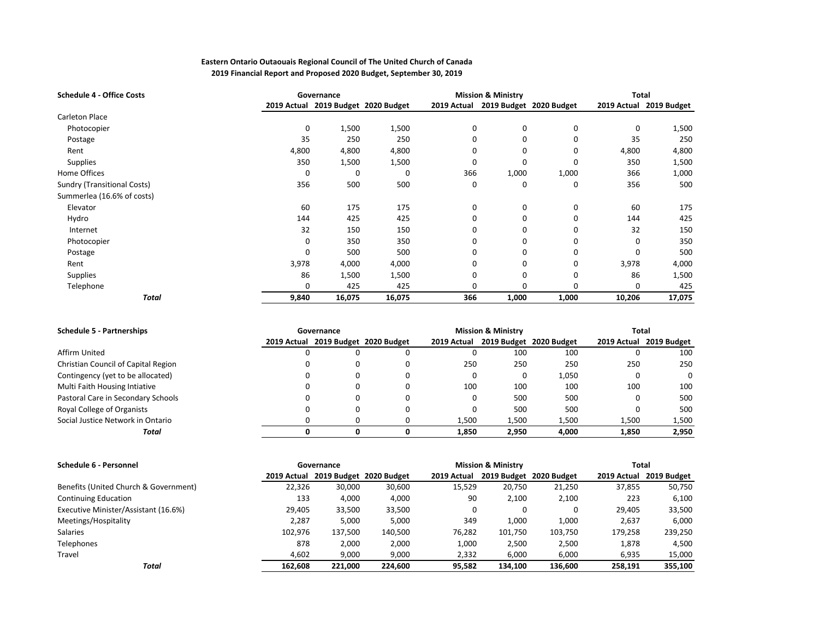| <b>Schedule 4 - Office Costs</b>   |          | <b>Mission &amp; Ministry</b><br>Governance |        |             |              | <b>Total</b>            |        |                         |
|------------------------------------|----------|---------------------------------------------|--------|-------------|--------------|-------------------------|--------|-------------------------|
|                                    |          | 2019 Actual 2019 Budget 2020 Budget         |        | 2019 Actual |              | 2019 Budget 2020 Budget |        | 2019 Actual 2019 Budget |
| Carleton Place                     |          |                                             |        |             |              |                         |        |                         |
| Photocopier                        | 0        | 1,500                                       | 1,500  | 0           | $\mathbf 0$  | 0                       | 0      | 1,500                   |
| Postage                            | 35       | 250                                         | 250    | 0           | $\Omega$     | 0                       | 35     | 250                     |
| Rent                               | 4,800    | 4,800                                       | 4,800  | 0           | 0            | 0                       | 4,800  | 4,800                   |
| <b>Supplies</b>                    | 350      | 1,500                                       | 1,500  | 0           | <sup>0</sup> | 0                       | 350    | 1,500                   |
| Home Offices                       | 0        | $\Omega$                                    | 0      | 366         | 1,000        | 1,000                   | 366    | 1,000                   |
| <b>Sundry (Transitional Costs)</b> | 356      | 500                                         | 500    | 0           | 0            | 0                       | 356    | 500                     |
| Summerlea (16.6% of costs)         |          |                                             |        |             |              |                         |        |                         |
| Elevator                           | 60       | 175                                         | 175    | 0           | $\mathbf 0$  | 0                       | 60     | 175                     |
| Hydro                              | 144      | 425                                         | 425    | 0           | $\Omega$     | 0                       | 144    | 425                     |
| Internet                           | 32       | 150                                         | 150    | 0           | $\Omega$     | 0                       | 32     | 150                     |
| Photocopier                        | $\Omega$ | 350                                         | 350    | 0           | $\Omega$     | 0                       | 0      | 350                     |
| Postage                            | 0        | 500                                         | 500    | 0           | $\Omega$     | 0                       | 0      | 500                     |
| Rent                               | 3,978    | 4,000                                       | 4,000  | 0           | $\Omega$     | 0                       | 3,978  | 4,000                   |
| <b>Supplies</b>                    | 86       | 1,500                                       | 1,500  | 0           | $\Omega$     | 0                       | 86     | 1,500                   |
| Telephone                          | 0        | 425                                         | 425    | 0           |              | $\Omega$                | 0      | 425                     |
| <b>Total</b>                       | 9,840    | 16,075                                      | 16,075 | 366         | 1,000        | 1,000                   | 10,206 | 17,075                  |

| <b>Schedule 5 - Partnerships</b>    | Governance                          |  |             | <b>Mission &amp; Ministry</b> |                         | Total |                         |  |
|-------------------------------------|-------------------------------------|--|-------------|-------------------------------|-------------------------|-------|-------------------------|--|
|                                     | 2019 Actual 2019 Budget 2020 Budget |  | 2019 Actual |                               | 2019 Budget 2020 Budget |       | 2019 Actual 2019 Budget |  |
| Affirm United                       |                                     |  |             | 100                           | 100                     |       | 100                     |  |
| Christian Council of Capital Region | O                                   |  | 250         | 250                           | 250                     | 250   | 250                     |  |
| Contingency (yet to be allocated)   | 0                                   |  |             |                               | 1,050                   | 0     | $\Omega$                |  |
| Multi Faith Housing Intiative       |                                     |  | 100         | 100                           | 100                     | 100   | 100                     |  |
| Pastoral Care in Secondary Schools  |                                     |  |             | 500                           | 500                     | 0     | 500                     |  |
| Royal College of Organists          |                                     |  |             | 500                           | 500                     |       | 500                     |  |
| Social Justice Network in Ontario   |                                     |  | 1,500       | 1,500                         | 1,500                   | 1,500 | 1,500                   |  |
| Total                               |                                     |  | 1.850       | 2.950                         | 4.000                   | 1,850 | 2,950                   |  |

| Schedule 6 - Personnel                | Governance |         |                                     |             | <b>Mission &amp; Ministry</b> |                         | Total       |             |  |
|---------------------------------------|------------|---------|-------------------------------------|-------------|-------------------------------|-------------------------|-------------|-------------|--|
|                                       |            |         | 2019 Actual 2019 Budget 2020 Budget | 2019 Actual |                               | 2019 Budget 2020 Budget | 2019 Actual | 2019 Budget |  |
| Benefits (United Church & Government) | 22,326     | 30,000  | 30,600                              | 15,529      | 20.750                        | 21,250                  | 37,855      | 50,750      |  |
| <b>Continuing Education</b>           | 133        | 4,000   | 4,000                               | 90          | 2,100                         | 2,100                   | 223         | 6,100       |  |
| Executive Minister/Assistant (16.6%)  | 29.405     | 33,500  | 33,500                              | 0           |                               |                         | 29.405      | 33,500      |  |
| Meetings/Hospitality                  | 2,287      | 5,000   | 5,000                               | 349         | 1.000                         | 1,000                   | 2,637       | 6,000       |  |
| <b>Salaries</b>                       | 102,976    | 137,500 | 140,500                             | 76.282      | 101,750                       | 103,750                 | 179,258     | 239,250     |  |
| <b>Telephones</b>                     | 878        | 2,000   | 2,000                               | 1,000       | 2,500                         | 2,500                   | 1,878       | 4,500       |  |
| Travel                                | 4,602      | 9,000   | 9,000                               | 2,332       | 6,000                         | 6,000                   | 6,935       | 15,000      |  |
| Total                                 | 162.608    | 221.000 | 224.600                             | 95.582      | 134.100                       | 136.600                 | 258.191     | 355.100     |  |